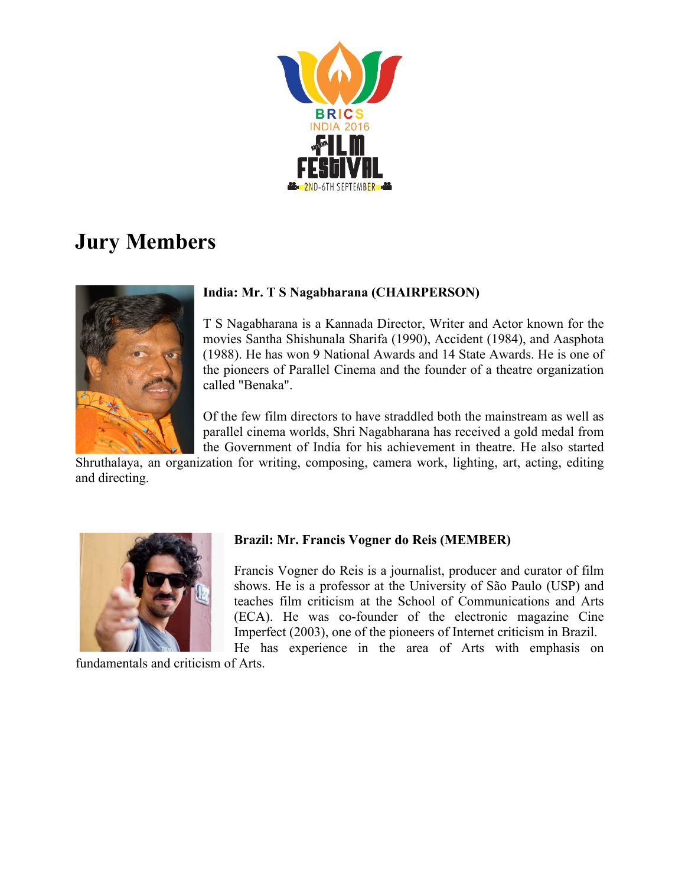

# **Jury Members**



## **India: Mr. T S Nagabharana (CHAIRPERSON)**

T S Nagabharana is a Kannada Director, Writer and Actor known for the movies Santha Shishunala Sharifa (1990), Accident (1984), and Aasphota (1988). He has won 9 National Awards and 14 State Awards. He is one of the pioneers of Parallel Cinema and the founder of a theatre organization called "Benaka".

Of the few film directors to have straddled both the mainstream as well as parallel cinema worlds, Shri Nagabharana has received a gold medal from the Government of India for his achievement in theatre. He also started

Shruthalaya, an organization for writing, composing, camera work, lighting, art, acting, editing and directing.



# **Brazil: Mr. Francis Vogner do Reis (MEMBER)**

Francis Vogner do Reis is a journalist, producer and curator of film shows. He is a professor at the University of São Paulo (USP) and teaches film criticism at the School of Communications and Arts (ECA). He was co-founder of the electronic magazine Cine Imperfect (2003), one of the pioneers of Internet criticism in Brazil.

He has experience in the area of Arts with emphasis on fundamentals and criticism of Arts.